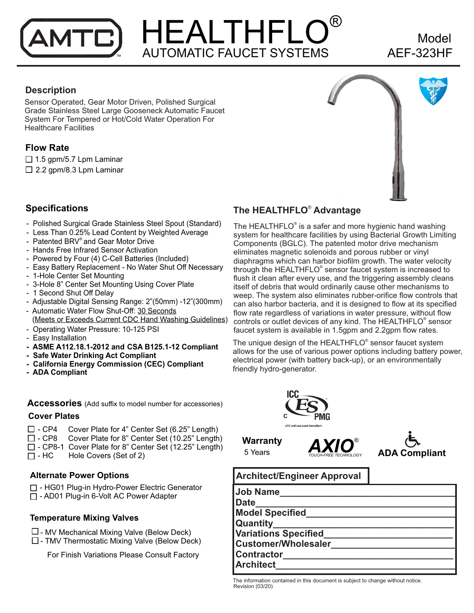## HEALTHFLO® AUTOMATIC FAUCET SYSTEMS ™ AEF-323HF

# Model

#### **Description**

Sensor Operated, Gear Motor Driven, Polished Surgical Grade Stainless Steel Large Gooseneck Automatic Faucet System For Tempered or Hot/Cold Water Operation For Healthcare Facilities

### **Flow Rate**

 $\Box$  1.5 gpm/5.7 Lpm Laminar  $\Box$  2.2 gpm/8.3 Lpm Laminar



#### **Specifications**

- Polished Surgical Grade Stainless Steel Spout (Standard)
- Less Than 0.25% Lead Content by Weighted Average
- Patented BRV® and Gear Motor Drive
- Hands Free Infrared Sensor Activation
- Powered by Four (4) C-Cell Batteries (Included)
- Easy Battery Replacement No Water Shut Off Necessary
- 1-Hole Center Set Mounting
- 3-Hole 8" Center Set Mounting Using Cover Plate
- 1 Second Shut Off Delay
- Adjustable Digital Sensing Range: 2"(50mm) -12"(300mm)
- Automatic Water Flow Shut-Off: 30 Seconds (Meets or Exceeds Current CDC Hand Washing Guidelines)
- Operating Water Pressure: 10-125 PSI
- Easy Installation
- **ASME A112.18.1-2012 and CSA B125.1-12 Compliant**
- **Safe Water Drinking Act Compliant**
- **California Energy Commission (CEC) Compliant**
- **ADA Compliant**

**Accessories** (Add suffix to model number for accessories)

#### **Cover Plates**

- $\square$  CP4 Cover Plate for 4" Center Set (6.25" Length)<br> $\square$  CP8 Cover Plate for 8" Center Set (10.25" Length
- Cover Plate for 8" Center Set (10.25" Length)  $\Box$  - CP8-1 Cover Plate for 8" Center Set (12.25" Length)
- $\Box$  HC Hole Covers (Set of 2)

#### **Alternate Power Options**

□ - HG01 Plug-in Hydro-Power Electric Generator □ - AD01 Plug-in 6-Volt AC Power Adapter

#### **Temperature Mixing Valves**

- $\square$  MV Mechanical Mixing Valve (Below Deck)
- $\square$  TMV Thermostatic Mixing Valve (Below Deck)

For Finish Variations Please Consult Factory

### ® **The HEALTHFLO Advantage**

The HEALTHFLO<sup>®</sup> is a safer and more hygienic hand washing system for healthcare facilities by using Bacterial Growth Limiting Components (BGLC). The patented motor drive mechanism eliminates magnetic solenoids and porous rubber or vinyl diaphragms which can harbor biofilm growth. The water velocity through the HEALTHFLO® sensor faucet system is increased to flush it clean after every use, and the triggering assembly cleans itself of debris that would ordinarily cause other mechanisms to weep. The system also eliminates rubber-orifice flow controls that can also harbor bacteria, and it is designed to flow at its specified flow rate regardless of variations in water pressure, without flow controls or outlet devices of any kind. The HEALTHFLO® sensor faucet system is available in 1.5gpm and 2.2gpm flow rates.

The unique design of the HEALTHFLO® sensor faucet system allows for the use of various power options including battery power, electrical power (with battery back-up), or an environmentally friendly hydro-generator.



**Warranty <b>AXIO**<sup>®</sup><br>5 Years *TOUCH-FREE TECHNOLOGY* 



#### **Architect/Engineer Approval**

| <b>Job Name</b>             |
|-----------------------------|
| <b>Date</b>                 |
| <b>Model Specified</b>      |
| Quantity                    |
| <b>Variations Specified</b> |
| <b>Customer/Wholesaler</b>  |
| <b>Contractor</b>           |
| <b>Architect</b>            |

The information contained in this document is subject to change without notice. Revision (03/20)